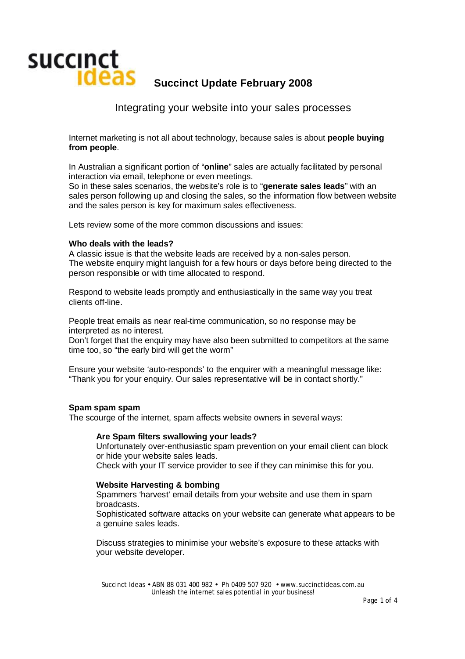

Integrating your website into your sales processes

Internet marketing is not all about technology, because sales is about **people buying from people**.

In Australian a significant portion of "**online**" sales are actually facilitated by personal interaction via email, telephone or even meetings.

So in these sales scenarios, the website's role is to "**generate sales leads**" with an sales person following up and closing the sales, so the information flow between website and the sales person is key for maximum sales effectiveness.

Lets review some of the more common discussions and issues:

#### **Who deals with the leads?**

A classic issue is that the website leads are received by a non-sales person. The website enquiry might languish for a few hours or days before being directed to the person responsible or with time allocated to respond.

Respond to website leads promptly and enthusiastically in the same way you treat clients off-line.

People treat emails as near real-time communication, so no response may be interpreted as no interest.

Don't forget that the enquiry may have also been submitted to competitors at the same time too, so "the early bird will get the worm"

Ensure your website 'auto-responds' to the enquirer with a meaningful message like: "Thank you for your enquiry. Our sales representative will be in contact shortly."

#### **Spam spam spam**

The scourge of the internet, spam affects website owners in several ways:

#### **Are Spam filters swallowing your leads?**

Unfortunately over-enthusiastic spam prevention on your email client can block or hide your website sales leads.

Check with your IT service provider to see if they can minimise this for you.

#### **Website Harvesting & bombing**

Spammers 'harvest' email details from your website and use them in spam broadcasts.

Sophisticated software attacks on your website can generate what appears to be a genuine sales leads.

Discuss strategies to minimise your website's exposure to these attacks with your website developer.

Succinct Ideas • ABN 88 031 400 982 • Ph 0409 507 920 • [www.succinctideas.com.au](http://www.succinctideas.com.au) Unleash the internet sales potential in your business!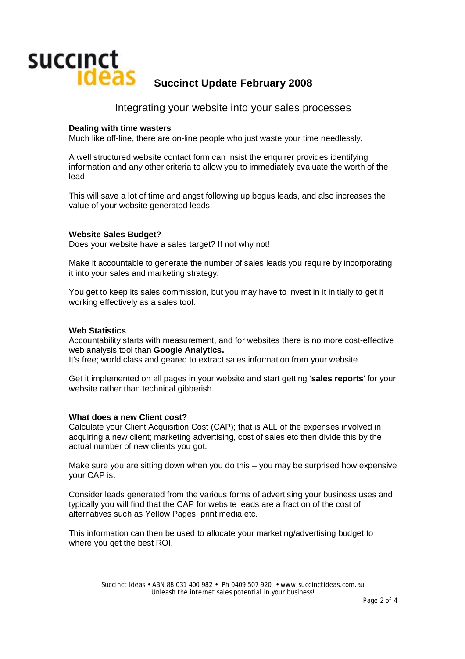

### Integrating your website into your sales processes

#### **Dealing with time wasters**

Much like off-line, there are on-line people who just waste your time needlessly.

A well structured website contact form can insist the enquirer provides identifying information and any other criteria to allow you to immediately evaluate the worth of the lead.

This will save a lot of time and angst following up bogus leads, and also increases the value of your website generated leads.

#### **Website Sales Budget?**

Does your website have a sales target? If not why not!

Make it accountable to generate the number of sales leads you require by incorporating it into your sales and marketing strategy.

You get to keep its sales commission, but you may have to invest in it initially to get it working effectively as a sales tool.

#### **Web Statistics**

Accountability starts with measurement, and for websites there is no more cost-effective web analysis tool than **Google Analytics.** 

It's free; world class and geared to extract sales information from your website.

Get it implemented on all pages in your website and start getting '**sales reports**' for your website rather than technical gibberish.

#### **What does a new Client cost?**

Calculate your Client Acquisition Cost (CAP); that is ALL of the expenses involved in acquiring a new client; marketing advertising, cost of sales etc then divide this by the actual number of new clients you got.

Make sure you are sitting down when you do this – you may be surprised how expensive your CAP is.

Consider leads generated from the various forms of advertising your business uses and typically you will find that the CAP for website leads are a fraction of the cost of alternatives such as Yellow Pages, print media etc.

This information can then be used to allocate your marketing/advertising budget to where you get the best ROI.

> Succinct Ideas • ABN 88 031 400 982 • Ph 0409 507 920 • [www.succinctideas.com.au](http://www.succinctideas.com.au) Unleash the internet sales potential in your business!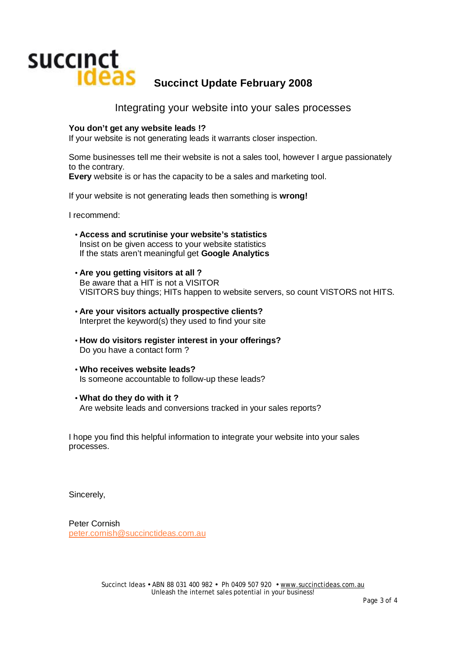

Integrating your website into your sales processes

#### **You don't get any website leads !?**

If your website is not generating leads it warrants closer inspection.

Some businesses tell me their website is not a sales tool, however I argue passionately to the contrary.

**Every** website is or has the capacity to be a sales and marketing tool.

If your website is not generating leads then something is **wrong!**

I recommend:

- **Access and scrutinise your website's statistics**  Insist on be given access to your website statistics If the stats aren't meaningful get **Google Analytics**
- **Are you getting visitors at all ?** Be aware that a HIT is not a VISITOR VISITORS buy things; HITs happen to website servers, so count VISTORS not HITS.
- **Are your visitors actually prospective clients?**  Interpret the keyword(s) they used to find your site
- **How do visitors register interest in your offerings?**  Do you have a contact form ?
- **Who receives website leads?**  Is someone accountable to follow-up these leads?
- **What do they do with it ?**  Are website leads and conversions tracked in your sales reports?

I hope you find this helpful information to integrate your website into your sales processes.

Sincerely,

Peter Cornish [peter.cornish@succinctideas.com.au](mailto:peter.cornish@succinctideas.com.au)